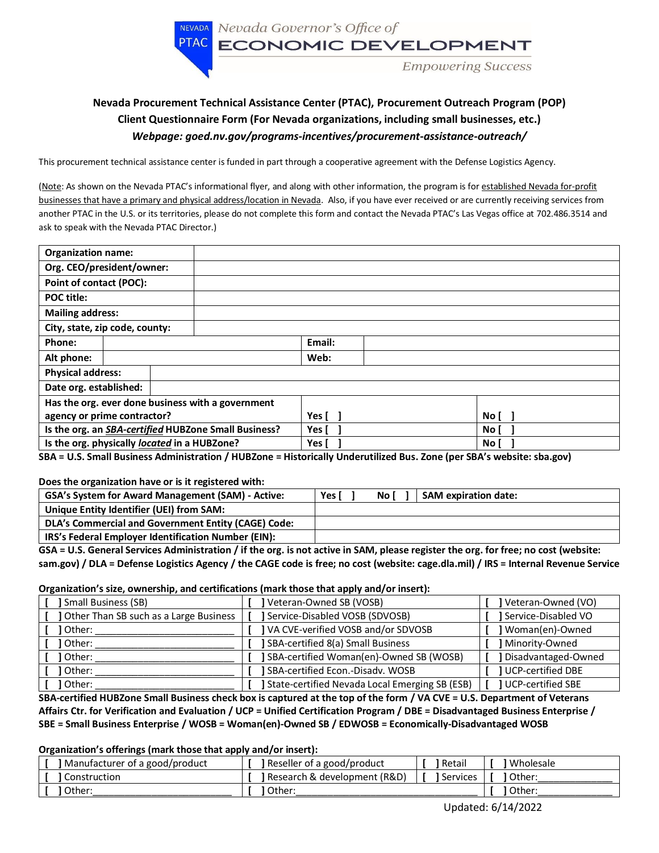NEVADA Nevada Governor's Office of PTAC ECONOMIC DEVELOPMENT

Empowering Success

# **Nevada Procurement Technical Assistance Center (PTAC), Procurement Outreach Program (POP) Client Questionnaire Form (For Nevada organizations, including small businesses, etc.)**  *Webpage: goed.nv.gov/programs-incentives/procurement-assistance-outreach/*

This procurement technical assistance center is funded in part through a cooperative agreement with the Defense Logistics Agency.

(Note: As shown on the Nevada PTAC's informational flyer, and along with other information, the program is for established Nevada for-profit businesses that have a primary and physical address/location in Nevada. Also, if you have ever received or are currently receiving services from another PTAC in the U.S. or its territories, please do not complete this form and contact the Nevada PTAC's Las Vegas office at 702.486.3514 and ask to speak with the Nevada PTAC Director.)

| <b>Organization name:</b>                            |                          |       |        |                 |  |
|------------------------------------------------------|--------------------------|-------|--------|-----------------|--|
| Org. CEO/president/owner:                            |                          |       |        |                 |  |
| Point of contact (POC):                              |                          |       |        |                 |  |
| <b>POC title:</b>                                    |                          |       |        |                 |  |
| <b>Mailing address:</b>                              |                          |       |        |                 |  |
| City, state, zip code, county:                       |                          |       |        |                 |  |
| Phone:                                               |                          |       | Email: |                 |  |
| Alt phone:                                           |                          |       | Web:   |                 |  |
|                                                      | <b>Physical address:</b> |       |        |                 |  |
| Date org. established:                               |                          |       |        |                 |  |
| Has the org. ever done business with a government    |                          |       |        |                 |  |
| agency or prime contractor?                          |                          | Yes [ |        | No I            |  |
| Is the org. an SBA-certified HUBZone Small Business? |                          | Yes [ |        | No <sub>1</sub> |  |
| Is the org. physically located in a HUBZone?         |                          | Yes [ |        | No l            |  |

**SBA = U.S. Small Business Administration / HUBZone = Historically Underutilized Bus. Zone (per SBA's website: sba.gov)**

### **Does the organization have or is it registered with:**

| <b>GSA's System for Award Management (SAM) - Active:</b> | Yes I | No l | <b>SAM expiration date:</b> |
|----------------------------------------------------------|-------|------|-----------------------------|
| Unique Entity Identifier (UEI) from SAM:                 |       |      |                             |
| DLA's Commercial and Government Entity (CAGE) Code:      |       |      |                             |
| IRS's Federal Employer Identification Number (EIN):      |       |      |                             |

**GSA = U.S. General Services Administration / if the org. is not active in SAM, please register the org. for free; no cost (website: sam.gov) / DLA = Defense Logistics Agency / the CAGE code is free; no cost (website: cage.dla.mil) / IRS = Internal Revenue Service**

#### **Organization's size, ownership, and certifications (mark those that apply and/or insert):**

| Small Business (SB)                    | Veteran-Owned SB (VOSB)                        | Veteran-Owned (VO)       |
|----------------------------------------|------------------------------------------------|--------------------------|
| Other Than SB such as a Large Business | Service-Disabled VOSB (SDVOSB)                 | Service-Disabled VO      |
| Other:                                 | VA CVE-verified VOSB and/or SDVOSB             | Woman(en)-Owned          |
| Other:                                 | SBA-certified 8(a) Small Business              | Minority-Owned           |
| l Other:                               | SBA-certified Woman(en)-Owned SB (WOSB)        | Disadvantaged-Owned      |
| l Other:                               | SBA-certified Econ.-Disadv. WOSB               | UCP-certified DBE        |
| Other:                                 | State-certified Nevada Local Emerging SB (ESB) | <b>UCP-certified SBE</b> |

**SBA-certified HUBZone Small Business check box is captured at the top of the form / VA CVE = U.S. Department of Veterans Affairs Ctr. for Verification and Evaluation / UCP = Unified Certification Program / DBE = Disadvantaged Business Enterprise / SBE = Small Business Enterprise / WOSB = Woman(en)-Owned SB / EDWOSB = Economically-Disadvantaged WOSB**

### **Organization's offerings (mark those that apply and/or insert):**

| J Manufacturer of a good/product | , Reseller of a good/product   | Retail   | Wholesale |
|----------------------------------|--------------------------------|----------|-----------|
| Construction                     | 1 Research & development (R&D) | Services | Other:    |
| Other:                           | Other:                         |          | Other:    |